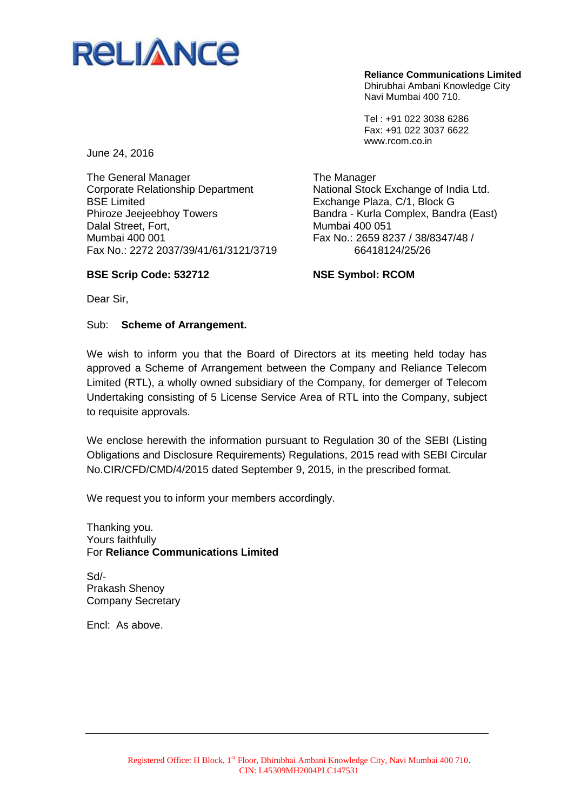

**Reliance Communications Limited** Dhirubhai Ambani Knowledge City Navi Mumbai 400 710.

Tel : +91 022 3038 6286 Fax: +91 022 3037 6622 www.rcom.co.in

National Stock Exchange of India Ltd.

Bandra - Kurla Complex, Bandra (East)

Fax No.: 2659 8237 / 38/8347/48 / 66418124/25/26

Exchange Plaza, C/1, Block G

June 24, 2016

The General Manager Corporate Relationship Department BSE Limited Phiroze Jeejeebhoy Towers Dalal Street, Fort, Mumbai 400 001 Fax No.: 2272 2037/39/41/61/3121/3719

**BSE Scrip Code: 532712**

**NSE Symbol: RCOM**

The Manager

Mumbai 400 051

Dear Sir,

Sub: **Scheme of Arrangement.**

We wish to inform you that the Board of Directors at its meeting held today has approved a Scheme of Arrangement between the Company and Reliance Telecom Limited (RTL), a wholly owned subsidiary of the Company, for demerger of Telecom Undertaking consisting of 5 License Service Area of RTL into the Company, subject to requisite approvals.

We enclose herewith the information pursuant to Regulation 30 of the SEBI (Listing Obligations and Disclosure Requirements) Regulations, 2015 read with SEBI Circular No.CIR/CFD/CMD/4/2015 dated September 9, 2015, in the prescribed format.

We request you to inform your members accordingly.

Thanking you. Yours faithfully For **Reliance Communications Limited**

Sd/- Prakash Shenoy Company Secretary

Encl: As above.